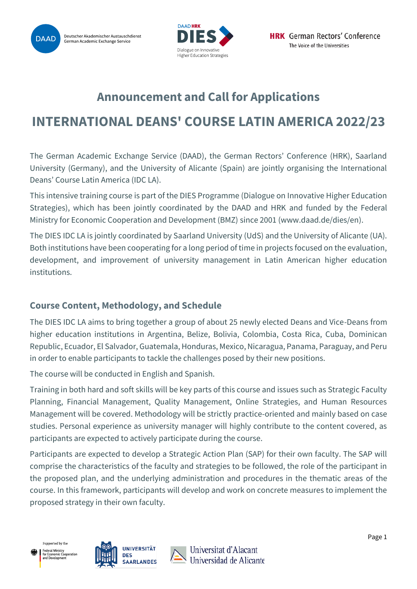



# **Announcement and Call for Applications**

# **INTERNATIONAL DEANS' COURSE LATIN AMERICA 2022/23**

The German Academic Exchange Service (DAAD), the German Rectors' Conference (HRK), Saarland University (Germany), and the University of Alicante (Spain) are jointly organising the International Deans' Course Latin America (IDC LA).

This intensive training course is part of the DIES Programme (Dialogue on Innovative Higher Education Strategies), which has been jointly coordinated by the DAAD and HRK and funded by the Federal Ministry for Economic Cooperation and Development (BMZ) since 2001 [\(www.daad.de/dies/en\)](http://www.daad.de/dies/en).

The DIES IDC LA is jointly coordinated by Saarland University (UdS) and the University of Alicante (UA). Both institutions have been cooperating for a long period of time in projects focused on the evaluation, development, and improvement of university management in Latin American higher education institutions.

## **Course Content, Methodology, and Schedule**

The DIES IDC LA aims to bring together a group of about 25 newly elected Deans and Vice-Deans from higher education institutions in Argentina, Belize, Bolivia, Colombia, Costa Rica, Cuba, Dominican Republic, Ecuador, El Salvador, Guatemala, Honduras, Mexico, Nicaragua, Panama, Paraguay, and Peru in order to enable participants to tackle the challenges posed by their new positions.

The course will be conducted in English and Spanish.

Training in both hard and soft skills will be key parts of this course and issues such as Strategic Faculty Planning, Financial Management, Quality Management, Online Strategies, and Human Resources Management will be covered. Methodology will be strictly practice-oriented and mainly based on case studies. Personal experience as university manager will highly contribute to the content covered, as participants are expected to actively participate during the course.

Participants are expected to develop a Strategic Action Plan (SAP) for their own faculty. The SAP will comprise the characteristics of the faculty and strategies to be followed, the role of the participant in the proposed plan, and the underlying administration and procedures in the thematic areas of the course. In this framework, participants will develop and work on concrete measures to implement the proposed strategy in their own faculty.



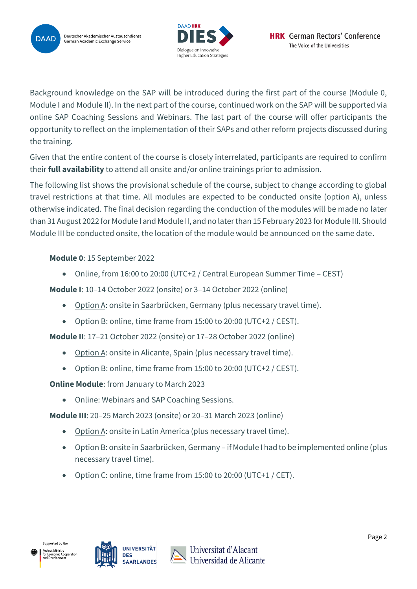



Background knowledge on the SAP will be introduced during the first part of the course (Module 0, Module I and Module II). In the next part of the course, continued work on the SAP will be supported via online SAP Coaching Sessions and Webinars. The last part of the course will offer participants the opportunity to reflect on the implementation of their SAPs and other reform projects discussed during the training.

Given that the entire content of the course is closely interrelated, participants are required to confirm their **full availability** to attend all onsite and/or online trainings prior to admission.

The following list shows the provisional schedule of the course, subject to change according to global travel restrictions at that time. All modules are expected to be conducted onsite (option A), unless otherwise indicated. The final decision regarding the conduction of the modules will be made no later than 31 August 2022 for Module I and Module II, and no later than 15 February 2023 for Module III. Should Module III be conducted onsite, the location of the module would be announced on the same date.

**Module 0**: 15 September 2022

• Online, from 16:00 to 20:00 (UTC+2 / Central European Summer Time – CEST)

**Module I**: 10–14 October 2022 (onsite) or 3–14 October 2022 (online)

- Option A: onsite in Saarbrücken, Germany (plus necessary travel time).
- Option B: online, time frame from 15:00 to 20:00 (UTC+2 / CEST).

**Module II**: 17–21 October 2022 (onsite) or 17–28 October 2022 (online)

- Option A: onsite in Alicante, Spain (plus necessary travel time).
- Option B: online, time frame from 15:00 to 20:00 (UTC+2 / CEST).

**Online Module**: from January to March 2023

• Online: Webinars and SAP Coaching Sessions.

**Module III**: 20–25 March 2023 (onsite) or 20–31 March 2023 (online)

- Option A: onsite in Latin America (plus necessary travel time).
- Option B: onsite in Saarbrücken, Germany if Module I had to be implemented online (plus necessary travel time).
- Option C: online, time frame from 15:00 to 20:00 (UTC+1 / CET).



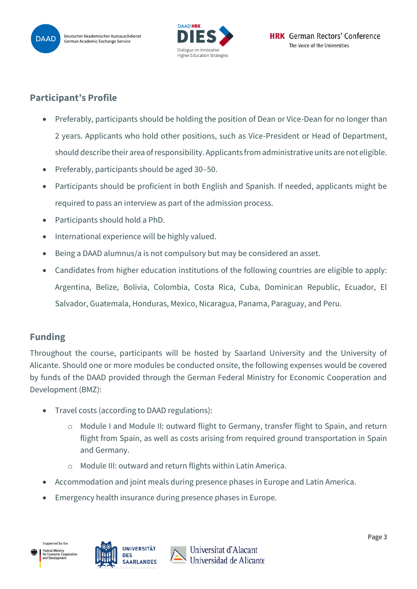



## **Participant's Profile**

- Preferably, participants should be holding the position of Dean or Vice-Dean for no longer than 2 years. Applicants who hold other positions, such as Vice-President or Head of Department, should describe their area of responsibility. Applicants from administrative units are not eligible.
- Preferably, participants should be aged 30–50.
- Participants should be proficient in both English and Spanish. If needed, applicants might be required to pass an interview as part of the admission process.
- Participants should hold a PhD.
- International experience will be highly valued.
- Being a DAAD alumnus/a is not compulsory but may be considered an asset.
- Candidates from higher education institutions of the following countries are eligible to apply: Argentina, Belize, Bolivia, Colombia, Costa Rica, Cuba, Dominican Republic, Ecuador, El Salvador, Guatemala, Honduras, Mexico, Nicaragua, Panama, Paraguay, and Peru.

## **Funding**

Throughout the course, participants will be hosted by Saarland University and the University of Alicante. Should one or more modules be conducted onsite, the following expenses would be covered by funds of the DAAD provided through the German Federal Ministry for Economic Cooperation and Development (BMZ):

- Travel costs (according to DAAD regulations):
	- o Module I and Module II: outward flight to Germany, transfer flight to Spain, and return flight from Spain, as well as costs arising from required ground transportation in Spain and Germany.
	- o Module III: outward and return flights within Latin America.
- Accommodation and joint meals during presence phases in Europe and Latin America.
- Emergency health insurance during presence phases in Europe.



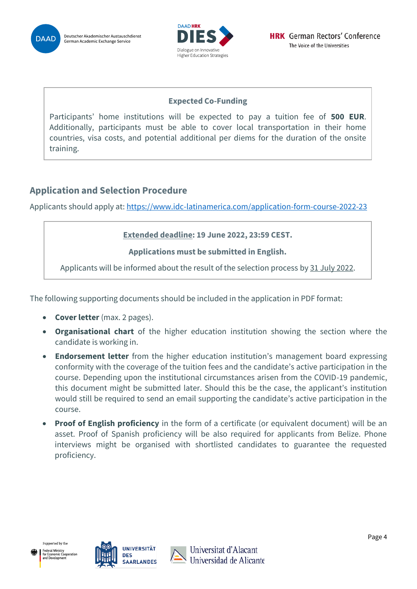



### **Expected Co-Funding**

Participants' home institutions will be expected to pay a tuition fee of **500 EUR**. Additionally, participants must be able to cover local transportation in their home countries, visa costs, and potential additional per diems for the duration of the onsite training.

# **Application and Selection Procedure**

Applicants should apply at[: https://www.idc-latinamerica.com/application-form-course-2022-23](https://www.idc-latinamerica.com/application-form-course-2022-23)

### **Extended deadline: 19 June 2022, 23:59 CEST.**

#### **Applications must be submitted in English.**

Applicants will be informed about the result of the selection process by 31 July 2022.

The following supporting documents should be included in the application in PDF format:

- **Cover letter** (max. 2 pages).
- **Organisational chart** of the higher education institution showing the section where the candidate is working in.
- **Endorsement letter** from the higher education institution's management board expressing conformity with the coverage of the tuition fees and the candidate's active participation in the course. Depending upon the institutional circumstances arisen from the COVID-19 pandemic, this document might be submitted later. Should this be the case, the applicant's institution would still be required to send an email supporting the candidate's active participation in the course.
- **Proof of English proficiency** in the form of a certificate (or equivalent document) will be an asset. Proof of Spanish proficiency will be also required for applicants from Belize. Phone interviews might be organised with shortlisted candidates to guarantee the requested proficiency.